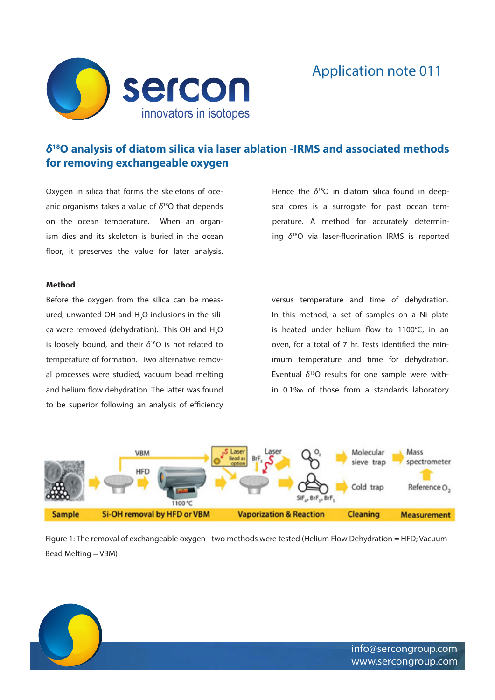

## Application note 011

## *δ***18O analysis of diatom silica via laser ablation -IRMS and associated methods for removing exchangeable oxygen**

Oxygen in silica that forms the skeletons of oceanic organisms takes a value of *δ*18O that depends on the ocean temperature. When an organism dies and its skeleton is buried in the ocean floor, it preserves the value for later analysis. Hence the *δ*18O in diatom silica found in deepsea cores is a surrogate for past ocean temperature. A method for accurately determining *δ*18O via laser-fluorination IRMS is reported

## **Method**

Before the oxygen from the silica can be measured, unwanted OH and  $H_2O$  inclusions in the silica were removed (dehydration). This OH and  $H_2O$ is loosely bound, and their *δ*18O is not related to temperature of formation. Two alternative removal processes were studied, vacuum bead melting and helium flow dehydration. The latter was found to be superior following an analysis of efficiency versus temperature and time of dehydration. In this method, a set of samples on a Ni plate is heated under helium flow to 1100°C, in an oven, for a total of 7 hr. Tests identified the minimum temperature and time for dehydration. Eventual *δ*18O results for one sample were within 0.1‰ of those from a standards laboratory



Figure 1: The removal of exchangeable oxygen - two methods were tested (Helium Flow Dehydration = HFD; Vacuum Bead Melting = VBM)